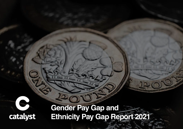

**Gender Pay Gap and Ethnicity Pay Gap Report 2021**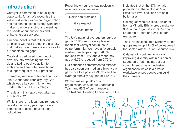## **Introduction**

Catalyst is committed to equality of opportunity for all. We recognise the value of diversity within our organisation and the contribution a diverse workforce makes to understanding and meeting the needs of our customers and enhancing our services.

Our core belief is that to fulfil our ambitions we must protect the diversity that makes us who we are and strive to further close the gaps.

Catalyst is dedicated to embedding diversity into everything that we do and taking positive action to embrace and promote diversity and to support equality in our practices.

Therefore, we have published our first joint Gender and Ethnicity Pay Gap which was a key commitment we made within our ED&I strategy.

The data in this report was taken as at 5 April 2021.

Whilst there is no legal requirement to report an ethnicity pay gap, we are committed to action beyond legal obligations.

Reporting on our pay gap position is reflective of our values of:

Deliver on promises Give respect

Be accountable

The UK's national average gender pay gap is 15.5% and we are pleased to report that Catalyst continues to outperform this. We have a favourable median gender pay gap of -0.3% reduced from 2.1%, and a mean pay gap of 6.76% reduced from 9.79%.

Our continued commitment to fairness has also seen our median ethnicity pay gap move to a positive -3.09% and an average ethnicity pay gap of 11.49%.

Women make up 54% of our organisation, 34% of our Leadership Team and 55% of our managers. The National Housing Federation (NHF) indicates that of the 57% female population in the sector, 45% of Executive level positions are held by females.

Colleagues who are Black, Asian or from a Minority Ethnic group make up 33% of our organisation, 3.7% of our Leadership Team and 26% of our managers.

The NHF indicates that Minority Ethnic groups make up 19.4% of colleagues in the sector, with 9.9% at Executive level.

Catalyst will continue to work on improving diversity within our senior Leadership Team as part of our commitment to be an inclusive organisation which is a diverse workplace where people can build their careers.

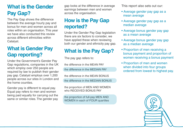# **What is the Gender Pay Gap?**

The Pay Gap shows the difference between the average hourly pay and bonus for men and women across all roles within an organisation. This year we have also conducted this review across different ethnicities within Catalyst.

## **What is Gender Pay Gap reporting?**

Under the Government's Gender Pay Gap regulations, companies in the UK which employ over 250 people are required by law to publish their gender pay gap. Catalyst employs over 1,200 people across our sites in London and the home counties.

Gender pay is different to equal pay. Equal pay refers to men and women being paid equally for carrying out the same or similar roles. The gender pay

gap looks at the difference in average earnings between men and women across the organisation.

## **How is the Pay Gap reported?**

Under the Gender Pay Gap legislation there are six factors to consider, we have applied these when reviewing both our gender and ethnicity pay gap.

# **What is the Pay Gap?**

The pay gap refers to:

the difference in the MEAN PAY

the difference in the MEDIAN PAY

the difference in the MEAN BONUS

the difference in the MEDIAN BONUS

the proportion of MEN AND WOMEN who RECEIVED BONUS PAY

the proportion of full-pay MEN AND WOMEN in each of FOUR quartiles This report also sets out our:

- Average gender pay gap as a mean average
- Average gender pay gap as a median average
- Average bonus gender pay gap as a mean average
- Average bonus gender pay gap as a median average
- Proportion of men receiving a bonus payment and proportion of women receiving a bonus payment
- Proportion of men and women when divided into four groups ordered from lowest to highest pay.

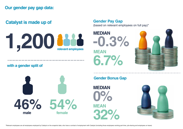## **Catalyst is made up of**



**Gender Pay Gap** (based on relevant employees on full pay)\*

**MEAN MEDIAN 6.7% -0.3%**



#### **with a gender split of**



#### **Gender Bonus Gap**

**MEAN MEDIAN 32% 0%**

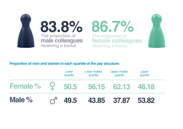

#### **Proportion of men and women in each quartile of the pay structure:**

| Male %          | 49.5              |                          | 43.85 37.87                     | 53.82                    |  |
|-----------------|-------------------|--------------------------|---------------------------------|--------------------------|--|
| <b>Female %</b> |                   | Y 50.5 56.15 62.13 46.18 |                                 |                          |  |
|                 | Lower<br>quartile | Lower middle<br>quartile | <b>Upper middle</b><br>quartile | <b>Upper</b><br>quartile |  |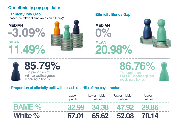## **Our ethnicity pay gap data:**

#### **Ethnicity Pay Gap**

(based on relevant employees on full pay)\*

# **MEAN MEDIAN 11.49% -3.09%**



#### **Ethnicity Bonus Gap**

**MEAN MEDIAN 20.98% 0%**





### The proportion of **BAME colleagues** receiving a bonus **86.76%**

#### **Proportion of ethnicity split within each quartile of the pay structure:**

|                   | Lower<br>quartile | Lower middle<br>quartile | Upper middle<br>quartile | Upper<br>quartile |  |
|-------------------|-------------------|--------------------------|--------------------------|-------------------|--|
| BAMF <sub>2</sub> | <b>32 99</b>      | 34.38                    | 47.92                    | <b>29.86</b>      |  |
| White %           | 67.01             | 55.62                    | 52.08                    | 70.14             |  |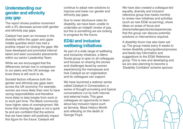#### **Understanding our gender and ethnicity pay gap**

The report shows positive movement with a 3% decrease across both gender and ethnicity pay gaps.

Catalyst has seen an increase in the diversity within the upper and upper middle quartiles which has had a positive impact on closing the gaps. We have developed and promoted internal talent and seen successful placements within our senior Leadership Team.

While we are encouraged that the differences remain low in comparison to our peers and the UK average, we know there is still work to do.

Societal factors influence both the gender and ethnicity pay gaps seen across the UK economy. For example, women are more likely than men to have caring responsibilities and therefore more likely to take breaks from work or to work part time. The Black community have higher rates of unemployment. We know that closing the gaps is not a quick fix and are confident that the actions that we have taken will positively impact this figure for the future. Catalyst will

continue to adopt new solutions to improve and lower our gender and ethnicity pay gaps.

Due to lower disclosure rates for disability, we have been unable to undertake an indepth review of pay, but this is something we are looking to progress for the future.

#### **ED&I and inclusive wellbeing initiatives**

As part of a wide range of wellbeing and inclusivity initiatives, a Meno Social group is open to all colleagues and focuses on sharing the stories and challenges faced by women experiencing the menopause and how Catalyst as an organisation and its colleagues can support.

We have launched a webinar series called Catalyst in Conversation; a series of thought provoking and topical conversations run by both internal and external hosts. This gave colleagues an opportunity to learn about key inclusion topics such as fairness, Black History Month and reflecting on the death of George Floyd.

We have also created a colleague-led equality, diversity and inclusion reference group that meets monthly to review new initiatives and activities (such as new ED&I eLearning), share ideas on areas of focus and sharechallenges/stories/experiences that the group can discuss potential solutions or interventions required.

A disability forum has also been set up. The group meets every 6 weeks to review disability policy/guidance/process and feeds key information and suggestions to the ED&I Reference group. This is new and developing and we are also planning to become a 'Disability Confident' scheme sponsor.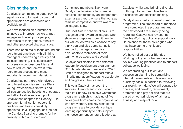## **Closing the gap**

Catalyst is committed to equal pay for equal work and to making sure that opportunities are accessible and available to all.

We have focused on a number of initiatives to improve how we attract, engage and develop our people, regardless of their gender, ethnicity and other protected characteristics.

There has been major focus around our recruitment practices, with all hiring managers undertaking diversity and inclusion training. This specifically focusses on unconscious bias and how to reduce and remove it from recruitment process and most importantly, recruitment decisions.

Catalyst has partnered with diverse recruitment agencies such as Black Young Professionals Network and utilises various job boards to encourage and attract a diverse talent pool. Catalyst has adopted the Rooney Rule approach for all senior leadership positions and has successfully appointed Ravi Rajagopal as Chair of the Catalyst Board to promote further diversity within our Board and

Committee members. Each year Catalyst undertakes a benchmarking exercise, conducted by an independent, external partner, to ensure that our pay remains competitive and we award all colleagues fairly.

Our Spot Award scheme allows us to recognise and reward colleagues who show an exceptional commitment to our values. As well as a chance to say thank you and give some fantastic feedback, managers can give e-vouchers to members of their team who go above and beyond.

Catalyst participated in two different leadership development programmes; G15 Accelerate and Leadership 2025. Both are designed to support ethnic minority managers/leaders to accelerate and progress in their careers.

This year Catalyst has seen the successful launch and conclusion of the pilot Shadow Executive Committee programme which is made up of five colleagues from across the organisation who are women. The key aims of the programme are to provide a unique learning opportunity to help support their development as future leaders at

Catalyst, whilst also bringing diversity of thought to our Executive Team discussions and decision making.

Catalyst launched an internal mentoring programme. The first cohort of mentees have completed the programme and the next cohort are currently being recruited. Catalyst has revised the Flexible Working policy to support work life balance for those colleagues who may have caring or childcare responsibilities.

We have rolled out our Blended Working policy to further encourage flexible working practices and to support colleague wellbeing.

We are tracking our talent and succession planning by scrutinising internal movements and leavers on a quarterly basis, in addition to reviewing our recruitment data. We will continue to operate, and develop, recruitment, promotion and pay policies that are based on our principles of fairness, equality and respect for all.